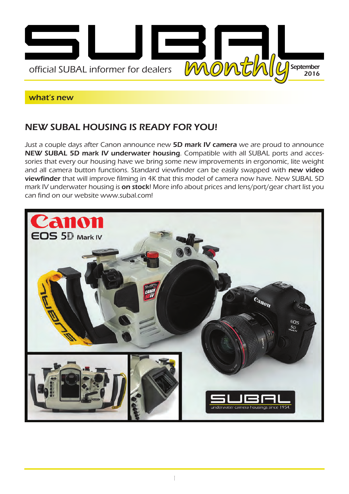

#### what's new

## NEW SUBAL HOUSING IS READY FOR YOU!

Just a couple days after Canon announce new 5D mark IV camera we are proud to announce NEW SUBAL 5D mark IV underwater housing. Compatible with all SUBAL ports and accessories that every our housing have we bring some new improvements in ergonomic, lite weight and all camera button functions. Standard viewfinder can be easily swapped with new video viewfinder that will improve filming in 4K that this model of camera now have. New SUBAL 5D mark IV underwater housing is on stock! More info about prices and lens/port/gear chart list you can find on our website www.subal.com!

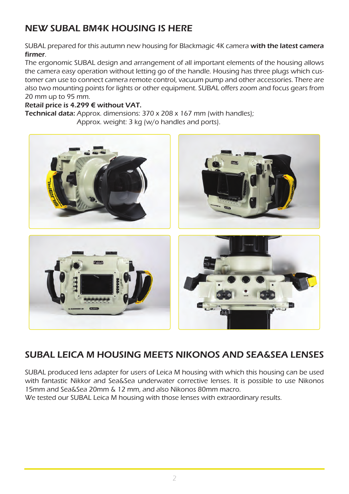# NEW SUBAL BM4K HOUSING IS HERE

SUBAL prepared for this autumn new housing for Blackmagic 4K camera with the latest camera firmer.

The ergonomic SUBAL design and arrangement of all important elements of the housing allows the camera easy operation without letting go of the handle. Housing has three plugs which customer can use to connect camera remote control, vacuum pump and other accessories. There are also two mounting points for lights or other equipment. SUBAL offers zoom and focus gears from 20 mm up to 95 mm.

### Retail price is 4.299 € without VAT.

Technical data: Approx. dimensions: 370 x 208 x 167 mm (with handles); Approx. weight: 3 kg (w/o handles and ports).



# SUBAL LEICA M HOUSING MEETS NIKONOS AND SEA&SEA LENSES

SUBAL produced lens adapter for users of Leica M housing with which this housing can be used with fantastic Nikkor and Sea&Sea underwater corrective lenses. It is possible to use Nikonos 15mm and Sea&Sea 20mm & 12 mm, and also Nikonos 80mm macro.

We tested our SUBAL Leica M housing with those lenses with extraordinary results.